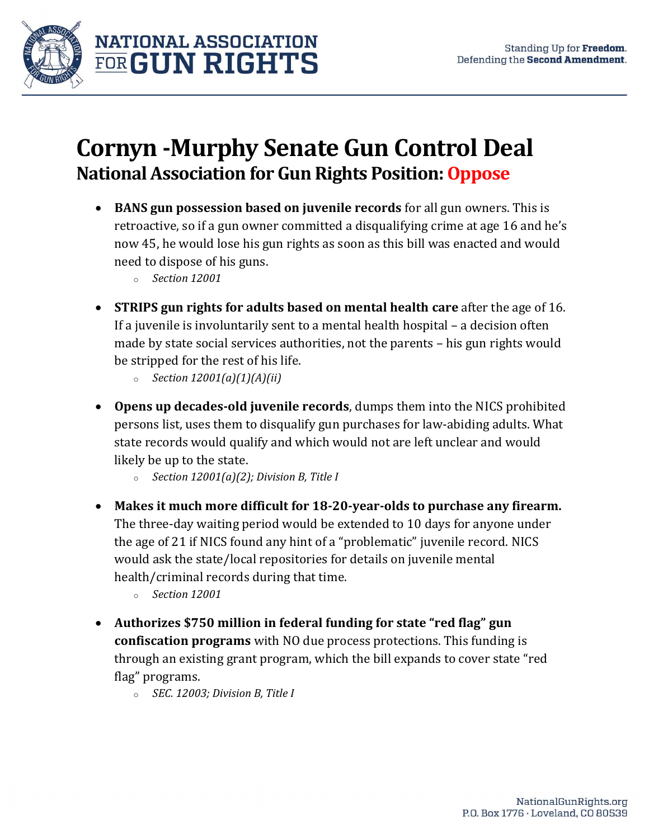

## Cornyn -Murphy Senate Gun Control Deal National Association for Gun Rights Position: Oppose

- BANS gun possession based on juvenile records for all gun owners. This is retroactive, so if a gun owner committed a disqualifying crime at age 16 and he's now 45, he would lose his gun rights as soon as this bill was enacted and would need to dispose of his guns.
	- o Section 12001
- STRIPS gun rights for adults based on mental health care after the age of 16. If a juvenile is involuntarily sent to a mental health hospital – a decision often made by state social services authorities, not the parents – his gun rights would be stripped for the rest of his life.
	- $\circ$  Section 12001(a)(1)(A)(ii)
- Opens up decades-old juvenile records, dumps them into the NICS prohibited persons list, uses them to disqualify gun purchases for law-abiding adults. What state records would qualify and which would not are left unclear and would likely be up to the state.
	- $\circ$  Section 12001(a)(2); Division B, Title I
- Makes it much more difficult for 18-20-year-olds to purchase any firearm. The three-day waiting period would be extended to 10 days for anyone under the age of 21 if NICS found any hint of a "problematic" juvenile record. NICS would ask the state/local repositories for details on juvenile mental health/criminal records during that time.
	- o Section 12001
- Authorizes \$750 million in federal funding for state "red flag" gun confiscation programs with NO due process protections. This funding is through an existing grant program, which the bill expands to cover state "red flag" programs.
	- o SEC. 12003; Division B, Title I